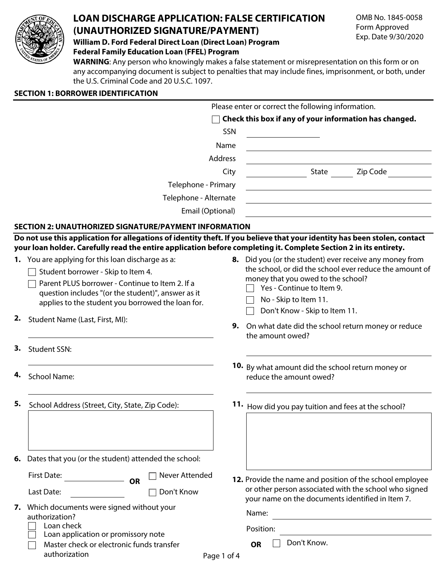

# **LOAN DISCHARGE APPLICATION: FALSE CERTIFICATION (UNAUTHORIZED SIGNATURE/PAYMENT)**

**William D. Ford Federal Direct Loan (Direct Loan) Program Federal Family Education Loan (FFEL) Program**

**WARNING**: Any person who knowingly makes a false statement or misrepresentation on this form or on any accompanying document is subject to penalties that may include fines, imprisonment, or both, under the U.S. Criminal Code and 20 U.S.C. 1097.

# **SECTION 1: BORROWER IDENTIFICATION**

|                     |                                                                                                                           |                | Please enter or correct the following information.                                                                 |          |
|---------------------|---------------------------------------------------------------------------------------------------------------------------|----------------|--------------------------------------------------------------------------------------------------------------------|----------|
|                     |                                                                                                                           |                | Check this box if any of your information has changed.                                                             |          |
|                     |                                                                                                                           | SSN            |                                                                                                                    |          |
|                     |                                                                                                                           | Name           |                                                                                                                    |          |
|                     |                                                                                                                           | <b>Address</b> |                                                                                                                    |          |
|                     |                                                                                                                           | City           | State                                                                                                              | Zip Code |
| Telephone - Primary |                                                                                                                           |                |                                                                                                                    |          |
|                     | Telephone - Alternate                                                                                                     |                |                                                                                                                    |          |
|                     | Email (Optional)                                                                                                          |                |                                                                                                                    |          |
|                     | SECTION 2: UNAUTHORIZED SIGNATURE/PAYMENT INFORMATION                                                                     |                |                                                                                                                    |          |
|                     | Do not use this application for allegations of identity theft. If you believe that your identity has been stolen, contact |                |                                                                                                                    |          |
|                     | your loan holder. Carefully read the entire application before completing it. Complete Section 2 in its entirety.         |                |                                                                                                                    |          |
|                     | 1. You are applying for this loan discharge as a:                                                                         |                | 8. Did you (or the student) ever receive any money from<br>the school, or did the school ever reduce the amount of |          |
|                     | Student borrower - Skip to Item 4.                                                                                        |                | money that you owed to the school?                                                                                 |          |
|                     | Parent PLUS borrower - Continue to Item 2. If a                                                                           |                | Yes - Continue to Item 9.                                                                                          |          |
|                     | question includes "(or the student)", answer as it<br>applies to the student you borrowed the loan for.                   |                | No - Skip to Item 11.                                                                                              |          |
|                     |                                                                                                                           |                | Don't Know - Skip to Item 11.                                                                                      |          |
|                     | 2. Student Name (Last, First, MI):                                                                                        | 9.             | On what date did the school return money or reduce<br>the amount owed?                                             |          |
| 3.                  | <b>Student SSN:</b>                                                                                                       |                |                                                                                                                    |          |
|                     |                                                                                                                           |                | <b>10.</b> By what amount did the school return money or                                                           |          |
| 4.                  | <b>School Name:</b>                                                                                                       |                | reduce the amount owed?                                                                                            |          |
|                     |                                                                                                                           |                |                                                                                                                    |          |
| 5.                  | School Address (Street, City, State, Zip Code):                                                                           | 11.            | How did you pay tuition and fees at the school?                                                                    |          |
|                     |                                                                                                                           |                |                                                                                                                    |          |
|                     |                                                                                                                           |                |                                                                                                                    |          |
|                     |                                                                                                                           |                |                                                                                                                    |          |
|                     | 6. Dates that you (or the student) attended the school:                                                                   |                |                                                                                                                    |          |
|                     | First Date:<br>Never Attended                                                                                             |                | 12. Provide the name and position of the school employee                                                           |          |
|                     | <b>OR</b><br>Don't Know<br>Last Date:                                                                                     |                | or other person associated with the school who signed                                                              |          |
| 7.                  | Which documents were signed without your<br>authorization?                                                                |                | your name on the documents identified in Item 7.                                                                   |          |
|                     |                                                                                                                           |                | Name:                                                                                                              |          |
|                     | Loan check<br>Loan application or promissory note                                                                         |                | Position:                                                                                                          |          |
|                     | Master check or electronic funds transfer                                                                                 |                | Don't Know.<br><b>OR</b>                                                                                           |          |
|                     | authorization                                                                                                             | Page 1 of 4    |                                                                                                                    |          |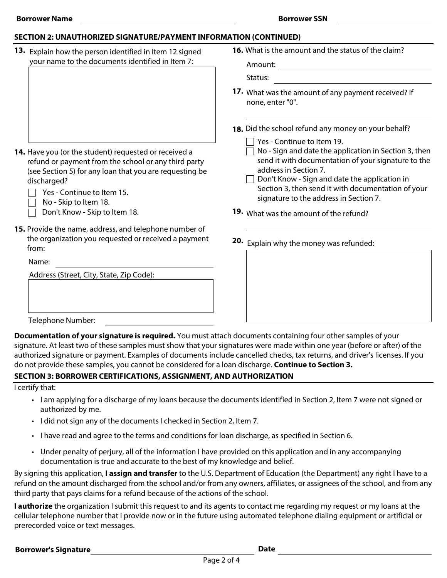#### **SECTION 2: UNAUTHORIZED SIGNATURE/PAYMENT INFORMATION (CONTINUED)**

- **13.** Explain how the person identified in Item 12 signed your name to the documents identified in Item 7:
- **16.** What is the amount and the status of the claim?

Amount:

Status:

- **17.** What was the amount of any payment received? If none, enter "0".
- **18.** Did the school refund any money on your behalf?
	- $\Box$  Yes Continue to Item 19.
	- $\Box$  No Sign and date the application in Section 3, then send it with documentation of your signature to the address in Section 7.
	- $\Box$  Don't Know Sign and date the application in Section 3, then send it with documentation of your signature to the address in Section 7.
- **19.** What was the amount of the refund?
- **20.** Explain why the money was refunded:
- **14.** Have you (or the student) requested or received a refund or payment from the school or any third party (see Section 5) for any loan that you are requesting be discharged?
	- $\Box$  Yes Continue to Item 15.
	- $\Box$  No Skip to Item 18.
	- Don't Know Skip to Item 18.
- **15.** Provide the name, address, and telephone number of the organization you requested or received a payment from:

Name:

Address (Street, City, State, Zip Code):

Telephone Number:

**Documentation of your signature is required.** You must attach documents containing four other samples of your signature. At least two of these samples must show that your signatures were made within one year (before or after) of the authorized signature or payment. Examples of documents include cancelled checks, tax returns, and driver's licenses. If you do not provide these samples, you cannot be considered for a loan discharge. **Continue to Section 3.**

### **SECTION 3: BORROWER CERTIFICATIONS, ASSIGNMENT, AND AUTHORIZATION**

I certify that:

- I am applying for a discharge of my loans because the documents identified in Section 2, Item 7 were not signed or authorized by me.
- I did not sign any of the documents I checked in Section 2, Item 7.
- I have read and agree to the terms and conditions for loan discharge, as specified in Section 6.
- Under penalty of perjury, all of the information I have provided on this application and in any accompanying documentation is true and accurate to the best of my knowledge and belief.

By signing this application, **I assign and transfer** to the U.S. Department of Education (the Department) any right I have to a refund on the amount discharged from the school and/or from any owners, affiliates, or assignees of the school, and from any third party that pays claims for a refund because of the actions of the school.

**I authorize** the organization I submit this request to and its agents to contact me regarding my request or my loans at the cellular telephone number that I provide now or in the future using automated telephone dialing equipment or artificial or prerecorded voice or text messages.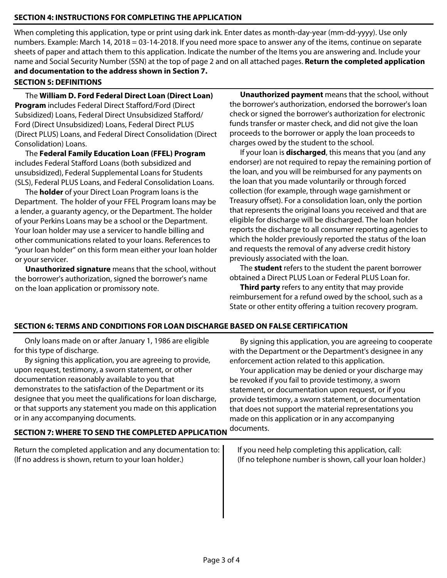## **SECTION 4: INSTRUCTIONS FOR COMPLETING THE APPLICATION**

When completing this application, type or print using dark ink. Enter dates as month-day-year (mm-dd-yyyy). Use only numbers. Example: March 14, 2018 = 03-14-2018. If you need more space to answer any of the items, continue on separate sheets of paper and attach them to this application. Indicate the number of the Items you are answering and. Include your name and Social Security Number (SSN) at the top of page 2 and on all attached pages. **Return the completed application and documentation to the address shown in Section 7.**

#### **SECTION 5: DEFINITIONS**

The **William D. Ford Federal Direct Loan (Direct Loan) Program** includes Federal Direct Stafford/Ford (Direct Subsidized) Loans, Federal Direct Unsubsidized Stafford/ Ford (Direct Unsubsidized) Loans, Federal Direct PLUS (Direct PLUS) Loans, and Federal Direct Consolidation (Direct Consolidation) Loans.

The **Federal Family Education Loan (FFEL) Program** includes Federal Stafford Loans (both subsidized and unsubsidized), Federal Supplemental Loans for Students (SLS), Federal PLUS Loans, and Federal Consolidation Loans.

The **holder** of your Direct Loan Program loans is the Department. The holder of your FFEL Program loans may be a lender, a guaranty agency, or the Department. The holder of your Perkins Loans may be a school or the Department. Your loan holder may use a servicer to handle billing and other communications related to your loans. References to "your loan holder" on this form mean either your loan holder or your servicer.

**Unauthorized signature** means that the school, without the borrower's authorization, signed the borrower's name on the loan application or promissory note.

**Unauthorized payment** means that the school, without the borrower's authorization, endorsed the borrower's loan check or signed the borrower's authorization for electronic funds transfer or master check, and did not give the loan proceeds to the borrower or apply the loan proceeds to charges owed by the student to the school.

If your loan is **discharged**, this means that you (and any endorser) are not required to repay the remaining portion of the loan, and you will be reimbursed for any payments on the loan that you made voluntarily or through forced collection (for example, through wage garnishment or Treasury offset). For a consolidation loan, only the portion that represents the original loans you received and that are eligible for discharge will be discharged. The loan holder reports the discharge to all consumer reporting agencies to which the holder previously reported the status of the loan and requests the removal of any adverse credit history previously associated with the loan.

The **student** refers to the student the parent borrower obtained a Direct PLUS Loan or Federal PLUS Loan for.

**Third party** refers to any entity that may provide reimbursement for a refund owed by the school, such as a State or other entity offering a tuition recovery program.

### **SECTION 6: TERMS AND CONDITIONS FOR LOAN DISCHARGE BASED ON FALSE CERTIFICATION**

Only loans made on or after January 1, 1986 are eligible for this type of discharge.

By signing this application, you are agreeing to provide, upon request, testimony, a sworn statement, or other documentation reasonably available to you that demonstrates to the satisfaction of the Department or its designee that you meet the qualifications for loan discharge, or that supports any statement you made on this application or in any accompanying documents.

By signing this application, you are agreeing to cooperate with the Department or the Department's designee in any enforcement action related to this application.

Your application may be denied or your discharge may be revoked if you fail to provide testimony, a sworn statement, or documentation upon request, or if you provide testimony, a sworn statement, or documentation that does not support the material representations you made on this application or in any accompanying documents.

**SECTION 7: WHERE TO SEND THE COMPLETED APPLICATION**

Return the completed application and any documentation to: (If no address is shown, return to your loan holder.)

If you need help completing this application, call: (If no telephone number is shown, call your loan holder.)